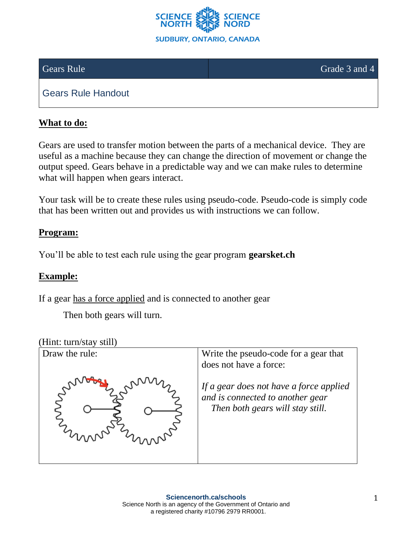

Gears Rule Grade 3 and 4

Gears Rule Handout

## **What to do:**

Gears are used to transfer motion between the parts of a mechanical device. They are useful as a machine because they can change the direction of movement or change the output speed. Gears behave in a predictable way and we can make rules to determine what will happen when gears interact.

Your task will be to create these rules using pseudo-code. Pseudo-code is simply code that has been written out and provides us with instructions we can follow.

#### **Program:**

You'll be able to test each rule using the gear program **gearsket.ch**

#### **Example:**

If a gear has a force applied and is connected to another gear

Then both gears will turn.

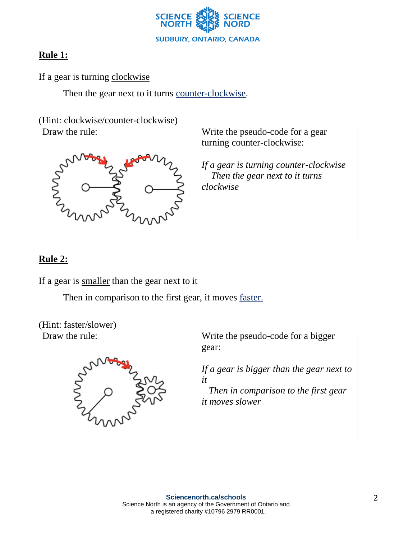

## **Rule 1:**

If a gear is turning clockwise

Then the gear next to it turns counter-clockwise.

(Hint: clockwise/counter-clockwise)



## **Rule 2:**

If a gear is smaller than the gear next to it

Then in comparison to the first gear, it moves faster.

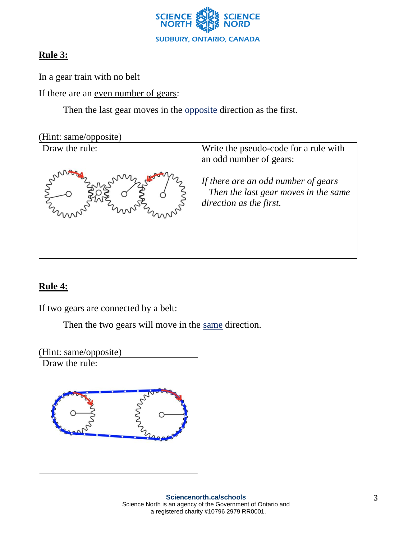

## **Rule 3:**

In a gear train with no belt

If there are an even number of gears:

Then the last gear moves in the opposite direction as the first.



## **Rule 4:**

If two gears are connected by a belt:

Then the two gears will move in the same direction.